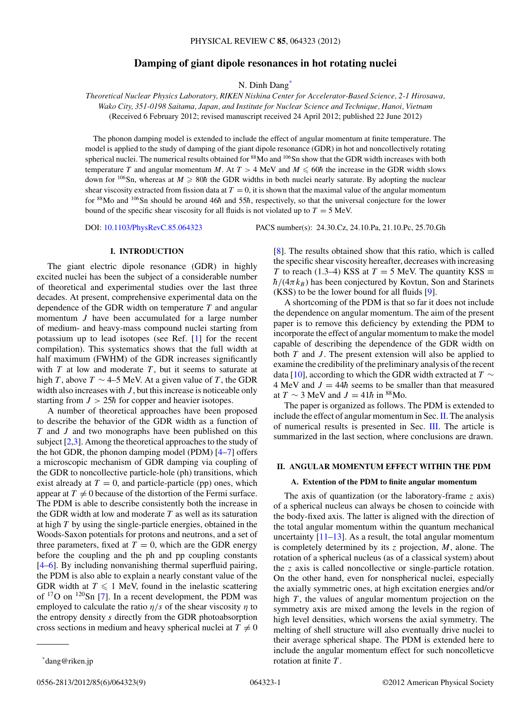# **Damping of giant dipole resonances in hot rotating nuclei**

N. Dinh Dang\*

<span id="page-0-0"></span>*Theoretical Nuclear Physics Laboratory, RIKEN Nishina Center for Accelerator-Based Science, 2-1 Hirosawa, Wako City, 351-0198 Saitama, Japan, and Institute for Nuclear Science and Technique, Hanoi, Vietnam* (Received 6 February 2012; revised manuscript received 24 April 2012; published 22 June 2012)

The phonon damping model is extended to include the effect of angular momentum at finite temperature. The model is applied to the study of damping of the giant dipole resonance (GDR) in hot and noncollectively rotating spherical nuclei. The numerical results obtained for <sup>88</sup>Mo and <sup>106</sup>Sn show that the GDR width increases with both temperature *T* and angular momentum *M*. At  $T > 4$  MeV and  $M \le 60\hbar$  the increase in the GDR width slows down for <sup>106</sup>Sn, whereas at  $M \ge 80\hbar$  the GDR widths in both nuclei nearly saturate. By adopting the nuclear shear viscosity extracted from fission data at  $T = 0$ , it is shown that the maximal value of the angular momentum for <sup>88</sup>Mo and <sup>106</sup>Sn should be around 46 $\hbar$  and 55 $\hbar$ , respectively, so that the universal conjecture for the lower bound of the specific shear viscosity for all fluids is not violated up to  $T = 5$  MeV.

DOI: [10.1103/PhysRevC.85.064323](http://dx.doi.org/10.1103/PhysRevC.85.064323) PACS number(s): 24*.*30*.*Cz, 24*.*10*.*Pa, 21*.*10*.*Pc, 25*.*70*.*Gh

## **I. INTRODUCTION**

The giant electric dipole resonance (GDR) in highly excited nuclei has been the subject of a considerable number of theoretical and experimental studies over the last three decades. At present, comprehensive experimental data on the dependence of the GDR width on temperature *T* and angular momentum *J* have been accumulated for a large number of medium- and heavy-mass compound nuclei starting from potassium up to lead isotopes (see Ref. [\[1\]](#page-8-0) for the recent compilation). This systematics shows that the full width at half maximum (FWHM) of the GDR increases significantly with  $T$  at low and moderate  $T$ , but it seems to saturate at high *T*, above  $T \sim 4-5$  MeV. At a given value of *T*, the GDR width also increases with *J* , but this increase is noticeable only starting from  $J > 25\hbar$  for copper and heavier isotopes.

A number of theoretical approaches have been proposed to describe the behavior of the GDR width as a function of *T* and *J* and two monographs have been published on this subject [\[2,3\]](#page-8-0). Among the theoretical approaches to the study of the hot GDR, the phonon damping model (PDM) [\[4–7\]](#page-8-0) offers a microscopic mechanism of GDR damping via coupling of the GDR to noncollective particle-hole (ph) transitions, which exist already at  $T = 0$ , and particle-particle (pp) ones, which appear at  $T \neq 0$  because of the distortion of the Fermi surface. The PDM is able to describe consistently both the increase in the GDR width at low and moderate *T* as well as its saturation at high *T* by using the single-particle energies, obtained in the Woods-Saxon potentials for protons and neutrons, and a set of three parameters, fixed at  $T = 0$ , which are the GDR energy before the coupling and the ph and pp coupling constants [\[4–6\]](#page-8-0). By including nonvanishing thermal superfluid pairing, the PDM is also able to explain a nearly constant value of the GDR width at  $T \leq 1$  MeV, found in the inelastic scattering of  $17$ O on  $120$ Sn [\[7\]](#page-8-0). In a recent development, the PDM was employed to calculate the ratio *η/s* of the shear viscosity *η* to the entropy density *s* directly from the GDR photoabsorption cross sections in medium and heavy spherical nuclei at  $T \neq 0$ 

[\[8\]](#page-8-0). The results obtained show that this ratio, which is called the specific shear viscosity hereafter, decreases with increasing *T* to reach (1.3–4) KSS at  $T = 5$  MeV. The quantity KSS  $\equiv$  $h/(4\pi k_B)$  has been conjectured by Kovtun, Son and Starinets (KSS) to be the lower bound for all fluids [\[9\]](#page-8-0).

A shortcoming of the PDM is that so far it does not include the dependence on angular momentum. The aim of the present paper is to remove this deficiency by extending the PDM to incorporate the effect of angular momentum to make the model capable of describing the dependence of the GDR width on both *T* and *J* . The present extension will also be applied to examine the credibility of the preliminary analysis of the recent data [\[10\]](#page-8-0), according to which the GDR width extracted at *T* ∼ 4 MeV and  $J = 44\hbar$  seems to be smaller than that measured at  $T \sim 3$  MeV and  $J = 41\hbar$  in <sup>88</sup>Mo.

The paper is organized as follows. The PDM is extended to include the effect of angular momentum in Sec. II. The analysis of numerical results is presented in Sec. [III.](#page-3-0) The article is summarized in the last section, where conclusions are drawn.

# **II. ANGULAR MOMENTUM EFFECT WITHIN THE PDM**

### **A. Extention of the PDM to finite angular momentum**

The axis of quantization (or the laboratory-frame *z* axis) of a spherical nucleus can always be chosen to coincide with the body-fixed axis. The latter is aligned with the direction of the total angular momentum within the quantum mechanical uncertainty  $[11-13]$ . As a result, the total angular momentum is completely determined by its *z* projection, *M*, alone. The rotation of a spherical nucleus (as of a classical system) about the *z* axis is called noncollective or single-particle rotation. On the other hand, even for nonspherical nuclei, especially the axially symmetric ones, at high excitation energies and/or high *T*, the values of angular momentum projection on the symmetry axis are mixed among the levels in the region of high level densities, which worsens the axial symmetry. The melting of shell structure will also eventually drive nuclei to their average spherical shape. The PDM is extended here to include the angular momentum effect for such noncolleticve rotation at finite *T* .

<sup>\*</sup>dang@riken.jp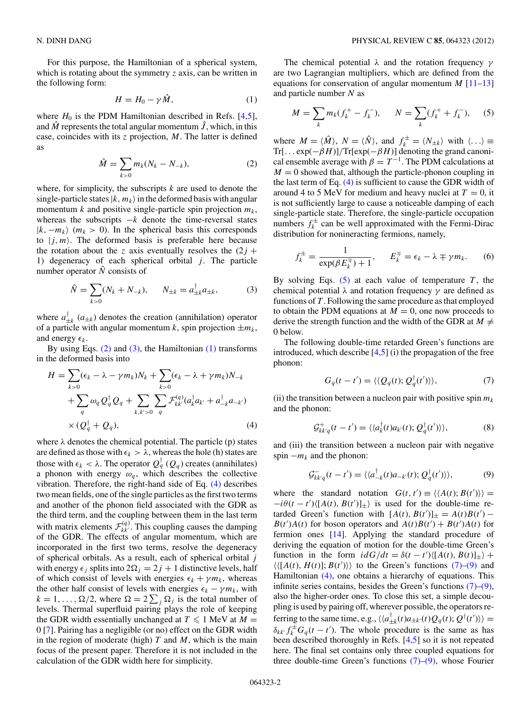<span id="page-1-0"></span>For this purpose, the Hamiltonian of a spherical system, which is rotating about the symmetry *z* axis, can be written in the following form:

$$
H = H_0 - \gamma \hat{M}, \qquad (1)
$$

where  $H_0$  is the PDM Hamiltonian described in Refs. [\[4,5\]](#page-8-0), and  $\hat{M}$  represents the total angular momentum  $\hat{J}$ , which, in this case, coincides with its *z* projection, *M*. The latter is defined as

$$
\hat{M} = \sum_{k>0} m_k (N_k - N_{-k}),
$$
\n(2)

where, for simplicity, the subscripts *k* are used to denote the single-particle states  $|k, m_k\rangle$  in the deformed basis with angular momentum *k* and positive single-particle spin projection *mk*, whereas the subscripts  $-k$  denote the time-reversal states  $|k, -m_k\rangle$  ( $m_k > 0$ ). In the spherical basis this corresponds to  $|j, m\rangle$ . The deformed basis is preferable here because the rotation about the *z* axis eventually resolves the  $(2j +$ 1) degeneracy of each spherical orbital  $j$ . The particle number operator  $\hat{N}$  consists of

$$
\hat{N} = \sum_{k>0} (N_k + N_{-k}), \qquad N_{\pm k} = a_{\pm k}^{\dagger} a_{\pm k}, \tag{3}
$$

where  $a_{\pm k}^{\dagger}$  ( $a_{\pm k}$ ) denotes the creation (annihilation) operator of a particle with angular momentum *k*, spin projection  $\pm m_k$ , and energy  $\epsilon_k$ .

By using Eqs.  $(2)$  and  $(3)$ , the Hamiltonian  $(1)$  transforms in the deformed basis into

$$
H = \sum_{k>0} (\epsilon_k - \lambda - \gamma m_k) N_k + \sum_{k>0} (\epsilon_k - \lambda + \gamma m_k) N_{-k}
$$
  
+ 
$$
\sum_q \omega_q Q_q^{\dagger} Q_q + \sum_{k,k'>0} \sum_q \mathcal{F}_{kk'}^{(q)} (a_k^{\dagger} a_{k'} + a_{-k}^{\dagger} a_{-k'})
$$
  
×  $(Q_q^{\dagger} + Q_q),$  (4)

where  $\lambda$  denotes the chemical potential. The particle (p) states are defined as those with  $\epsilon_k > \lambda$ , whereas the hole (h) states are those with  $\epsilon_k < \lambda$ . The operator  $Q_q^{\dagger}(Q_q)$  creates (annihilates) a phonon with energy  $\omega_q$ , which describes the collective vibration. Therefore, the right-hand side of Eq. (4) describes two mean fields, one of the single particles as the first two terms and another of the phonon field associated with the GDR as the third term, and the coupling between them in the last term with matrix elements  $\mathcal{F}_{kk'}^{(q)}$ . This coupling causes the damping of the GDR. The effects of angular momentum, which are incorporated in the first two terms, resolve the degeneracy of spherical orbitals. As a result, each of spherical orbital *j* with energy  $\epsilon_j$  splits into  $2\Omega_j = 2j + 1$  distinctive levels, half of which consist of levels with energies  $\epsilon_k + \gamma m_k$ , whereas the other half consist of levels with energies  $\epsilon_k - \gamma m_k$ , with  $k = 1, \ldots, \Omega/2$ , where  $\Omega = 2 \sum_j \Omega_j$  is the total number of levels. Thermal superfluid pairing plays the role of keeping the GDR width essentially unchanged at  $T \leq 1$  MeV at  $M =$ 0 [\[7\]](#page-8-0). Pairing has a negligible (or no) effect on the GDR width in the region of moderate (high) *T* and *M*, which is the main focus of the present paper. Therefore it is not included in the calculation of the GDR width here for simplicity.

The chemical potential *λ* and the rotation frequency *γ* are two Lagrangian multipliers, which are defined from the equations for conservation of angular momentum *M* [\[11–13\]](#page-8-0) and particle number *N* as

$$
M = \sum_{k} m_k (f_k^+ - f_k^-), \qquad N = \sum_{k} (f_k^+ + f_k^-), \qquad (5)
$$

where  $M = \langle \hat{M} \rangle$ ,  $N = \langle \hat{N} \rangle$ , and  $f_k^{\pm} = \langle N_{\pm k} \rangle$  with  $\langle \ldots \rangle \equiv$ Tr[*...* exp(−*βH*)]*/*Tr[exp(−*βH*)] denoting the grand canonical ensemble average with  $\beta = T^{-1}$ . The PDM calculations at  $M = 0$  showed that, although the particle-phonon coupling in the last term of Eq. (4) is sufficient to cause the GDR width of around 4 to 5 MeV for medium and heavy nuclei at  $T = 0$ , it is not sufficiently large to cause a noticeable damping of each single-particle state. Therefore, the single-particle occupation numbers  $f_k^{\pm}$  can be well approximated with the Fermi-Dirac distribution for nonineracting fermions, namely,

$$
f_k^{\pm} = \frac{1}{\exp(\beta E_k^{\mp}) + 1}, \qquad E_k^{\mp} = \epsilon_k - \lambda \mp \gamma m_k. \tag{6}
$$

By solving Eqs.  $(5)$  at each value of temperature *T*, the chemical potential *λ* and rotation frequency *γ* are defined as functions of *T* . Following the same procedure as that employed to obtain the PDM equations at  $M = 0$ , one now proceeds to derive the strength function and the width of the GDR at  $M \neq$ 0 below.

The following double-time retarded Green's functions are introduced, which describe  $[4,5]$  (i) the propagation of the free phonon:

$$
G_q(t - t') = \langle \langle Q_q(t); Q_q^{\dagger}(t') \rangle \rangle, \tag{7}
$$

(ii) the transition between a nucleon pair with positive spin  $m_k$ and the phonon:

$$
\mathcal{G}_{kk'q}^+(t-t') = \langle \langle a_k^\dagger(t)a_{k'}(t); \mathcal{Q}_q^\dagger(t') \rangle \rangle, \tag{8}
$$

and (iii) the transition between a nucleon pair with negative spin  $-m_k$  and the phonon:

$$
\mathcal{G}_{kk'q}^-(t-t') = \langle \langle a_{-k}^\dagger(t)a_{-k'}(t); \mathcal{Q}_q^\dagger(t') \rangle \rangle, \tag{9}
$$

where the standard notation  $G(t, t') \equiv \langle \langle A(t), B(t') \rangle \rangle$  $-i\theta(t - t')\langle [A(t), B(t')]_{\pm}\rangle$  is used for the double-time retarded Green's function with  $[A(t), B(t')]_{\pm} = A(t)B(t') B(t')A(t)$  for boson operators and  $A(t)B(t') + B(t')A(t)$  for fermion ones [\[14\]](#page-8-0). Applying the standard procedure of deriving the equation of motion for the double-time Green's function in the form  $idG/dt = \delta(t - t') \langle [A(t), B(t)]_{\pm} \rangle +$  $\langle\langle [A(t), H(t)]; B(t')\rangle\rangle$  to the Green's functions (7)–(9) and Hamiltonian (4), one obtains a hierarchy of equations. This infinite series contains, besides the Green's functions (7)–(9), also the higher-order ones. To close this set, a simple decoupling is used by pairing off, wherever possible, the operators referring to the same time, e.g.,  $\langle \langle a_{\pm k}^{\dagger}(t) a_{\pm k'}(t) Q_{q}(t); Q^{\dagger}(t') \rangle \rangle =$  $\delta_{kk'} f_k^{\pm} G_q(t-t')$ . The whole procedure is the same as has been described thoroughly in Refs. [\[4,5\]](#page-8-0) so it is not repeated here. The final set contains only three coupled equations for three double-time Green's functions  $(7)-(9)$ , whose Fourier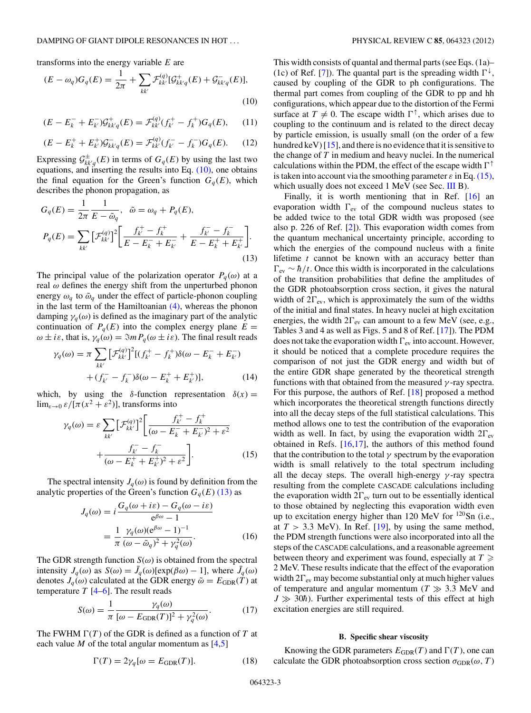<span id="page-2-0"></span>transforms into the energy variable *E* are

$$
(E - \omega_q)G_q(E) = \frac{1}{2\pi} + \sum_{kk'} \mathcal{F}_{kk'}^{(q)}[\mathcal{G}_{kk'q}^+(E) + \mathcal{G}_{kk'q}^-(E)],
$$
\n(10)

$$
(E - E_k^- + E_{k'}^-) \mathcal{G}_{kk'q}^+(E) = \mathcal{F}_{kk'}^{(q)}(f_{k'}^+ - f_k^+) G_q(E), \qquad (11)
$$

$$
(E - E_k^+ + E_{k'}^+) \mathcal{G}_{kk'q}^-(E) = \mathcal{F}_{kk'}^{(q)} (f_{k'}^- - f_k^-) G_q(E). \tag{12}
$$

Expressing  $\mathcal{G}^{\pm}_{kk'q}(E)$  in terms of  $G_q(E)$  by using the last two equations, and inserting the results into Eq.  $(10)$ , one obtains the final equation for the Green's function  $G_q(E)$ , which describes the phonon propagation, as

$$
G_q(E) = \frac{1}{2\pi} \frac{1}{E - \tilde{\omega}_q}, \quad \tilde{\omega} = \omega_q + P_q(E),
$$
  

$$
P_q(E) = \sum_{kk'} \left[ \mathcal{F}_{kk'}^{(q)} \right]^2 \left[ \frac{f_k^+ - f_k^+}{E - E_k^- + E_{k'}^-} + \frac{f_k^- - f_k^-}{E - E_k^+ + E_{k'}^+} \right].
$$
  
(13)

The principal value of the polarization operator  $P_q(\omega)$  at a real *ω* defines the energy shift from the unperturbed phonon energy  $\omega_q$  to  $\tilde{\omega}_q$  under the effect of particle-phonon coupling in the last term of the Hamiltoanian [\(4\),](#page-1-0) whereas the phonon damping  $\gamma_q(\omega)$  is defined as the imaginary part of the analytic continuation of  $P_q(E)$  into the complex energy plane  $E =$ *ω*  $\pm i\varepsilon$ , that is,  $\gamma_q(\omega) = \Im m P_q(\omega \pm i\varepsilon)$ . The final result reads

$$
\gamma_q(\omega) = \pi \sum_{kk'} \left[ \mathcal{F}_{kk'}^{(q)} \right]^2 \left[ (f_{k'}^+ - f_k^+) \delta(\omega - E_k^- + E_{k'}^-) \right] + (f_{k'}^- - f_k^-) \delta(\omega - E_k^+ + E_{k'}^+) \right], \tag{14}
$$

which, by using the  $\delta$ -function representation  $\delta(x)$  =  $\lim_{\varepsilon \to 0} \varepsilon / [\pi (x^2 + \varepsilon^2)]$ , transforms into

$$
\gamma_q(\omega) = \varepsilon \sum_{kk'} \left[ \mathcal{F}_{kk'}^{(q)} \right]^2 \left[ \frac{f_k^+ - f_k^+}{(\omega - E_k^- + E_k^-)^2 + \varepsilon^2} + \frac{f_k^- - f_k^-}{(\omega - E_k^+ + E_k^+)^2 + \varepsilon^2} \right].
$$
\n(15)

The spectral intensity  $J_q(\omega)$  is found by definition from the analytic properties of the Green's function  $G_q(E)$  (13) as

$$
J_q(\omega) = i \frac{G_q(\omega + i\varepsilon) - G_q(\omega - i\varepsilon)}{e^{\beta \omega} - 1}
$$
  
= 
$$
\frac{1}{\pi} \frac{\gamma_q(\omega)(e^{\beta \omega} - 1)^{-1}}{(\omega - \tilde{\omega}_q)^2 + \gamma_q^2(\omega)}.
$$
 (16)

The GDR strength function  $S(\omega)$  is obtained from the spectral intensity  $J_q(\omega)$  as  $S(\omega) = \bar{J}_q(\omega) [\exp(\beta \omega) - 1]$ , where  $\bar{J}_q(\omega)$ denotes  $J_q(\omega)$  calculated at the GDR energy  $\tilde{\omega} = E_{GDR}(T)$  at temperature  $T$  [\[4–6\]](#page-8-0). The result reads

$$
S(\omega) = \frac{1}{\pi} \frac{\gamma_q(\omega)}{[\omega - E_{\text{GDR}}(T)]^2 + \gamma_q^2(\omega)}.
$$
 (17)

The FWHM  $\Gamma(T)$  of the GDR is defined as a function of T at each value *M* of the total angular momentum as  $[4,5]$ 

$$
\Gamma(T) = 2\gamma_q[\omega = E_{\text{GDR}}(T)].\tag{18}
$$

This width consists of quantal and thermal parts (see Eqs. (1a)– (1c) of Ref. [\[7\]](#page-8-0)). The quantal part is the spreading width  $\Gamma^{\downarrow}$ , caused by coupling of the GDR to ph configurations. The thermal part comes from coupling of the GDR to pp and hh configurations, which appear due to the distortion of the Fermi surface at  $T \neq 0$ . The escape width  $\Gamma^{\uparrow}$ , which arises due to coupling to the continuum and is related to the direct decay by particle emission, is usually small (on the order of a few hundred keV)  $[15]$ , and there is no evidence that it is sensitive to the change of *T* in medium and heavy nuclei. In the numerical calculations within the PDM, the effect of the escape width <sup>↑</sup> is taken into account via the smoothing parameter  $\varepsilon$  in Eq. (15), which usually does not exceed 1 MeV (see Sec. [III](#page-3-0) B).

Finally, it is worth mentioning that in Ref. [\[16\]](#page-8-0) an evaporation width  $\Gamma_{\text{ev}}$  of the compound nucleus states to be added twice to the total GDR width was proposed (see also p. 226 of Ref. [\[2\]](#page-8-0)). This evaporation width comes from the quantum mechanical uncertainty principle, according to which the energies of the compound nucleus with a finite lifetime *t* cannot be known with an accuracy better than  $\Gamma_{\rm ev} \sim \hbar/t$ . Once this width is incorporated in the calculations of the transition probabilities that define the amplitudes of the GDR photoabsorption cross section, it gives the natural width of 2 $\Gamma_{\text{ev}}$ , which is approximately the sum of the widths of the initial and final states. In heavy nuclei at high excitation energies, the width  $2\Gamma_{\text{ev}}$  can amount to a few MeV (see, e.g., Tables 3 and 4 as well as Figs. 5 and 8 of Ref. [\[17\]](#page-8-0)). The PDM does not take the evaporation width  $\Gamma_{\text{ev}}$  into account. However, it should be noticed that a complete procedure requires the comparison of not just the GDR energy and width but of the entire GDR shape generated by the theoretical strength functions with that obtained from the measured *γ* -ray spectra. For this purpose, the authors of Ref. [\[18\]](#page-8-0) proposed a method which incorporates the theoretical strength functions directly into all the decay steps of the full statistical calculations. This method allows one to test the contribution of the evaporation width as well. In fact, by using the evaporation width  $2\Gamma_{\text{ev}}$ obtained in Refs. [\[16,17\]](#page-8-0), the authors of this method found that the contribution to the total  $\gamma$  spectrum by the evaporation width is small relatively to the total spectrum including all the decay steps. The overall high-energy *γ* -ray spectra resulting from the complete CASCADE calculations including the evaporation width  $2\Gamma_{\text{ev}}$  turn out to be essentially identical to those obtained by neglecting this evaporation width even up to excitation energy higher than 120 MeV for  $120$ Sn (i.e., at  $T > 3.3$  MeV). In Ref. [\[19\]](#page-8-0), by using the same method, the PDM strength functions were also incorporated into all the steps of the CASCADE calculations, and a reasonable agreement between theory and experiment was found, especially at *T* 2 MeV. These results indicate that the effect of the evaporation width  $2\Gamma_{\text{ev}}$  may become substantial only at much higher values of temperature and angular momentum ( $T \gg 3.3$  MeV and  $J \gg 30\hbar$ ). Further experimental tests of this effect at high excitation energies are still required.

### **B. Specific shear viscosity**

Knowing the GDR parameters  $E_{GDR}(T)$  and  $\Gamma(T)$ , one can calculate the GDR photoabsorption cross section  $\sigma_{GDR}(\omega, T)$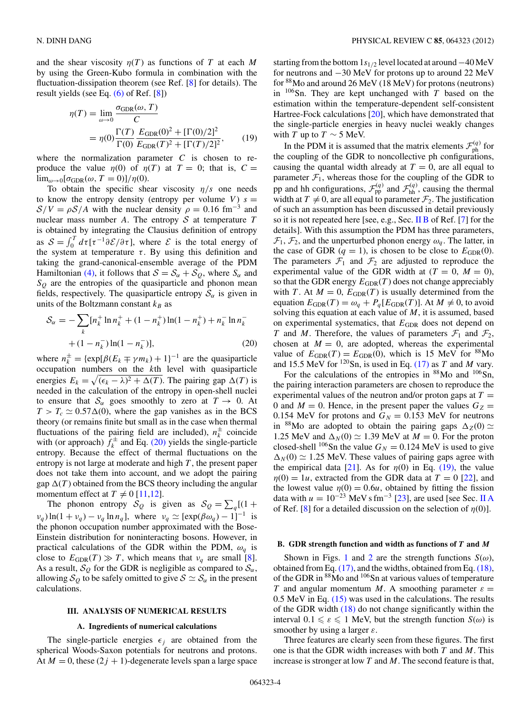<span id="page-3-0"></span>and the shear viscosity  $\eta(T)$  as functions of *T* at each *M* by using the Green-Kubo formula in combination with the fluctuation-dissipation theorem (see Ref. [\[8\]](#page-8-0) for details). The result yields (see Eq. [\(6\)](#page-1-0) of Ref. [\[8\]](#page-8-0))

$$
\eta(T) = \lim_{\omega \to 0} \frac{\sigma_{\text{GDR}}(\omega, T)}{C}
$$
  
= 
$$
\eta(0) \frac{\Gamma(T)}{\Gamma(0)} \frac{E_{\text{GDR}}(0)^2 + [\Gamma(0)/2]^2}{E_{\text{GDR}}(T)^2 + [\Gamma(T)/2]^2},
$$
 (19)

where the normalization parameter  $C$  is chosen to reproduce the value  $\eta(0)$  of  $\eta(T)$  at  $T = 0$ ; that is,  $C =$ lim<sub> $\omega \to 0$ </sub>[ $\sigma_{\text{GDR}}(\omega, T = 0)$ ]/ $\eta(0)$ .

To obtain the specific shear viscosity *η/s* one needs to know the entropy density (entropy per volume  $V$ )  $s =$  $S/V = \rho S/A$  with the nuclear density  $\rho = 0.16$  fm<sup>-3</sup> and nuclear mass number *A*. The entropy  $S$  at temperature  $T$ is obtained by integrating the Clausius definition of entropy as  $S = \int_0^T d\tau [\tau^{-1}\partial \mathcal{E}/\partial \tau]$ , where  $\mathcal E$  is the total energy of the system at temperature  $\tau$ . By using this definition and taking the grand-canonical-ensemble average of the PDM Hamiltonian [\(4\),](#page-1-0) it follows that  $S = S_\alpha + S_\alpha$ , where  $S_\alpha$  and  $S_Q$  are the entropies of the quasiparticle and phonon mean fields, respectively. The quasiparticle entropy  $S_\alpha$  is given in units of the Boltzmann constant  $k_B$  as

$$
S_{\alpha} = -\sum_{k} [n_{k}^{+} \ln n_{k}^{+} + (1 - n_{k}^{+}) \ln(1 - n_{k}^{+}) + n_{k}^{-} \ln n_{k}^{-} + (1 - n_{k}^{-}) \ln(1 - n_{k}^{-})],
$$
\n(20)

where  $n_k^{\pm} = {\exp[\beta(E_k \mp \gamma m_k) + 1]}^{-1}$  are the quasiparticle occupation numbers on the *k*th level with quasiparticle energies  $E_k = \sqrt{(\epsilon_k - \lambda)^2 + \Delta(T)}$ . The pairing gap  $\Delta(T)$  is needed in the calculation of the entropy in open-shell nuclei to ensure that  $S_\alpha$  goes smoothly to zero at  $T \to 0$ . At  $T > T_c \simeq 0.57\Delta(0)$ , where the gap vanishes as in the BCS theory (or remains finite but small as in the case when thermal fluctuations of the pairing field are included),  $n_k^{\pm}$  coincide with (or approach)  $\hat{f}_k^{\pm}$  and Eq. (20) yields the single-particle entropy. Because the effect of thermal fluctuations on the entropy is not large at moderate and high *T* , the present paper does not take them into account, and we adopt the pairing gap  $\Delta(T)$  obtained from the BCS theory including the angular momentum effect at  $T \neq 0$  [\[11,12\]](#page-8-0).

The phonon entropy  $S_Q$  is given as  $S_Q = \sum_q [(1 +$  $\nu_q$ ) ln(1 +  $\nu_q$ ) –  $\nu_q$  ln  $n_q$ ], where  $\nu_q \simeq [\exp(\beta \omega_q) - 1]^{-1}$  is the phonon occupation number approximated with the Bose-Einstein distribution for noninteracting bosons. However, in practical calculations of the GDR within the PDM, *ωq* is close to  $E_{GDR}(T) \gg T$ , which means that  $v_q$  are small [\[8\]](#page-8-0). As a result,  $\mathcal{S}_{Q}$  for the GDR is negligible as compared to  $\mathcal{S}_{\alpha}$ , allowing  $S_Q$  to be safely omitted to give  $S \simeq S_\alpha$  in the present calculations.

#### **III. ANALYSIS OF NUMERICAL RESULTS**

#### **A. Ingredients of numerical calculations**

The single-particle energies  $\epsilon_i$  are obtained from the spherical Woods-Saxon potentials for neutrons and protons. At  $M = 0$ , these  $(2j + 1)$ -degenerate levels span a large space starting from the bottom 1*s*1*/*<sup>2</sup> level located at around−40 MeV for neutrons and −30 MeV for protons up to around 22 MeV for 88Mo and around 26 MeV (18 MeV) for protons (neutrons) in  $106$ Sn. They are kept unchanged with *T* based on the estimation within the temperature-dependent self-consistent Hartree-Fock calculations [\[20\]](#page-8-0), which have demonstrated that the single-particle energies in heavy nuclei weakly changes with *T* up to  $T \sim 5$  MeV.

In the PDM it is assumed that the matrix elements  $\mathcal{F}_{ph}^{(q)}$  for the coupling of the GDR to noncollective ph configurations, causing the quantal width already at  $T = 0$ , are all equal to parameter  $\mathcal{F}_1$ , whereas those for the coupling of the GDR to pp and hh configurations,  $\mathcal{F}_{pp}^{(q)}$  and  $\mathcal{F}_{hh}^{(q)}$ , causing the thermal width at  $T \neq 0$ , are all equal to parameter  $\mathcal{F}_2$ . The justification of such an assumption has been discussed in detail previously so it is not repeated here [see, e.g., Sec. [II B](#page-2-0) of Ref. [\[7\]](#page-8-0) for the details]. With this assumption the PDM has three parameters,  $\mathcal{F}_1$ ,  $\mathcal{F}_2$ , and the unperturbed phonon energy  $\omega_q$ . The latter, in the case of GDR  $(q = 1)$ , is chosen to be close to  $E_{GDR}(0)$ . The parameters  $\mathcal{F}_1$  and  $\mathcal{F}_2$  are adjusted to reproduce the experimental value of the GDR width at  $(T = 0, M = 0)$ , so that the GDR energy  $E_{GDR}(T)$  does not change appreciably with *T*. At  $M = 0$ ,  $E_{GDR}(T)$  is usually determined from the equation  $E_{GDR}(T) = \omega_q + P_q[E_{GDR}(T)]$ . At  $M \neq 0$ , to avoid solving this equation at each value of *M*, it is assumed, based on experimental systematics, that  $E_{GDR}$  does not depend on *T* and *M*. Therefore, the values of parameters  $\mathcal{F}_1$  and  $\mathcal{F}_2$ , chosen at  $M = 0$ , are adopted, whereas the experimental value of  $E_{GDR}(T) = E_{GDR}(0)$ , which is 15 MeV for <sup>88</sup>Mo and 15.5 MeV for  $^{120}$ Sn, is used in Eq. [\(17\)](#page-2-0) as *T* and *M* vary.

For the calculations of the entropies in  $88$ Mo and  $106$ Sn, the pairing interaction parameters are chosen to reproduce the experimental values of the neutron and/or proton gaps at  $T =$ 0 and  $M = 0$ . Hence, in the present paper the values  $G_Z =$ 0.154 MeV for protons and  $G_N = 0.153$  MeV for neutrons in <sup>88</sup>Mo are adopted to obtain the pairing gaps  $\Delta_Z(0) \simeq$ 1.25 MeV and  $\Delta_N(0) \simeq 1.39$  MeV at  $M = 0$ . For the proton closed-shell <sup>106</sup>Sn the value  $G_N = 0.124$  MeV is used to give  $\Delta_N(0) \simeq 1.25$  MeV. These values of pairing gaps agree with the empirical data [\[21\]](#page-8-0). As for  $\eta(0)$  in Eq. (19), the value  $η(0) = 1u$ , extracted from the GDR data at  $T = 0$  [\[22\]](#page-8-0), and the lowest value  $\eta(0) = 0.6u$ , obtained by fitting the fission data with  $u = 10^{-23}$  MeV s fm<sup>-3</sup> [\[23\]](#page-8-0), are used [see Sec. [II A](#page-0-0) of Ref. [\[8\]](#page-8-0) for a detailed discussion on the selection of  $\eta(0)$ ].

# **B. GDR strength function and width as functions of** *T* **and** *M*

Shown in Figs. [1](#page-4-0) and [2](#page-5-0) are the strength functions  $S(\omega)$ , obtained from Eq. [\(17\),](#page-2-0) and the widths, obtained from Eq. [\(18\),](#page-2-0) of the GDR in <sup>88</sup>Mo and <sup>106</sup>Sn at various values of temperature *T* and angular momentum *M*. A smoothing parameter  $\varepsilon$  =  $0.5$  MeV in Eq.  $(15)$  was used in the calculations. The results of the GDR width [\(18\)](#page-2-0) do not change significantly within the interval  $0.1 \le \varepsilon \le 1$  MeV, but the strength function  $S(\omega)$  is smoother by using a larger *ε*.

Three features are clearly seen from these figures. The first one is that the GDR width increases with both *T* and *M*. This increase is stronger at low *T* and *M*. The second feature is that,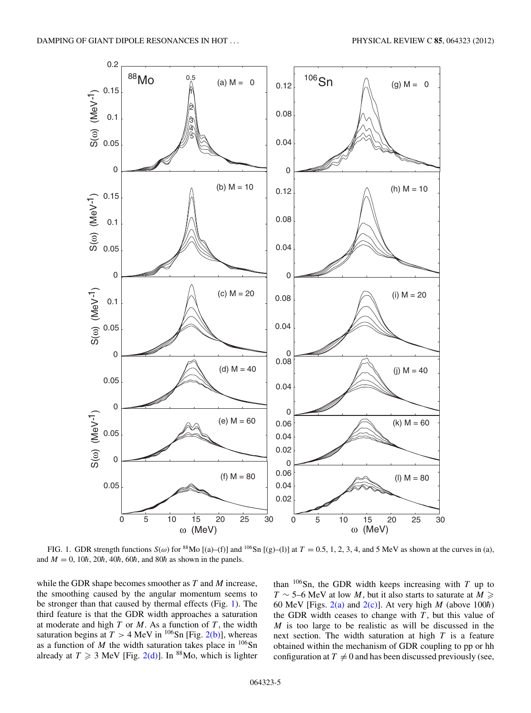<span id="page-4-0"></span>

FIG. 1. GDR strength functions  $S(\omega)$  for <sup>88</sup>Mo [(a)–(f)] and <sup>106</sup>Sn [(g)–(l)] at  $T = 0.5, 1, 2, 3, 4$ , and 5 MeV as shown at the curves in (a), and  $M = 0$ , 10 $\hbar$ , 20 $\hbar$ , 40 $\hbar$ , 60 $\hbar$ , and 80 $\hbar$  as shown in the panels.

while the GDR shape becomes smoother as *T* and *M* increase, the smoothing caused by the angular momentum seems to be stronger than that caused by thermal effects (Fig. 1). The third feature is that the GDR width approaches a saturation at moderate and high  $T$  or  $M$ . As a function of  $T$ , the width saturation begins at  $T > 4$  MeV in <sup>106</sup>Sn [Fig. [2\(b\)\]](#page-5-0), whereas as a function of  $M$  the width saturation takes place in  $106$ Sn already at  $T \ge 3$  MeV [Fig. [2\(d\)\]](#page-5-0). In <sup>88</sup>Mo, which is lighter than  $106$ Sn, the GDR width keeps increasing with *T* up to *T* ∼ 5–6 MeV at low *M*, but it also starts to saturate at *M* 60 MeV [Figs.  $2(a)$  and  $2(c)$ ]. At very high *M* (above 100 $\hbar$ ) the GDR width ceases to change with  $T$ , but this value of *M* is too large to be realistic as will be discussed in the next section. The width saturation at high *T* is a feature obtained within the mechanism of GDR coupling to pp or hh configuration at  $T \neq 0$  and has been discussed previously (see,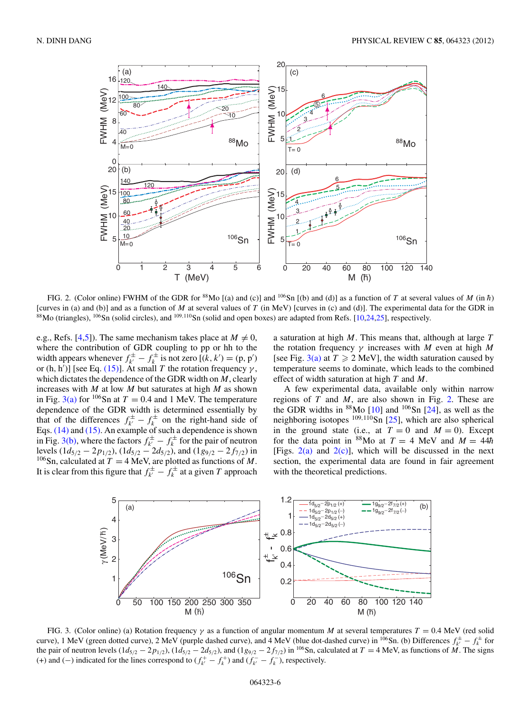<span id="page-5-0"></span>

FIG. 2. (Color online) FWHM of the GDR for  $88$ Mo [(a) and (c)] and  $106$ Sn [(b) and (d)] as a function of *T* at several values of *M* (in  $\hbar$ ) [curves in (a) and (b)] and as a function of *M* at several values of *T* (in MeV) [curves in (c) and (d)]. The experimental data for the GDR in <sup>88</sup>Mo (triangles), <sup>106</sup>Sn (solid circles), and <sup>109,110</sup>Sn (solid and open boxes) are adapted from Refs. [\[10,24,25\]](#page-8-0), respectively.

e.g., Refs. [\[4,5\]](#page-8-0)). The same mechanism takes place at  $M \neq 0$ , where the contribution of GDR coupling to pp or hh to the width appears whenever  $f_{k'}^{\pm} - f_k^{\pm}$  is not zero  $[(k, k') = (p, p')$ or (h, h<sup>'</sup>)] [see Eq. [\(15\)\]](#page-2-0). At small *T* the rotation frequency  $\gamma$ , which dictates the dependence of the GDR width on *M*, clearly increases with *M* at low *M* but saturates at high *M* as shown in Fig.  $3(a)$  for <sup>106</sup>Sn at  $T = 0.4$  and 1 MeV. The temperature dependence of the GDR width is determined essentially by that of the differences  $f_{k'}^{\pm} - f_{k}^{\pm}$  on the right-hand side of Eqs. [\(14\)](#page-2-0) and [\(15\).](#page-2-0) An example of such a dependence is shown in Fig. 3(b), where the factors  $f_k^{\pm} - f_k^{\pm}$  for the pair of neutron levels  $(1d_{5/2} - 2p_{1/2})$ ,  $(1d_{5/2} - 2d_{5/2})$ , and  $(1g_{9/2} - 2f_{7/2})$  in <sup>106</sup>Sn, calculated at  $T = 4$  MeV, are plotted as functions of M. It is clear from this figure that  $f_{k'}^{\pm} - f_k^{\pm}$  at a given *T* approach

a saturation at high *M*. This means that, although at large *T* the rotation frequency *γ* increases with *M* even at high *M* [see Fig. 3(a) at  $T \ge 2$  MeV], the width saturation caused by temperature seems to dominate, which leads to the combined effect of width saturation at high *T* and *M*.

A few experimental data, available only within narrow regions of *T* and *M*, are also shown in Fig. 2. These are the GDR widths in  $88$ Mo [\[10\]](#page-8-0) and  $106$ Sn [\[24\]](#page-8-0), as well as the neighboring isotopes <sup>109</sup>*,*110Sn [\[25\]](#page-8-0), which are also spherical in the ground state (i.e., at  $T = 0$  and  $M = 0$ ). Except for the data point in  ${}^{88}$ Mo at  $T = 4$  MeV and  $M = 44\hbar$ [Figs.  $2(a)$  and  $2(c)$ ], which will be discussed in the next section, the experimental data are found in fair agreement with the theoretical predictions.



FIG. 3. (Color online) (a) Rotation frequency *γ* as a function of angular momentum *M* at several temperatures *T* = 0.4 MeV (red solid curve), 1 MeV (green dotted curve), 2 MeV (purple dashed curve), and 4 MeV (blue dot-dashed curve) in <sup>106</sup>Sn. (b) Differences  $f_{k'}^{\pm} - f_{k}^{\pm}$  for the pair of neutron levels  $(1d_{5/2} - 2p_{1/2})$ ,  $(1d_{5/2} - 2d_{5/2})$ , and  $(1g_{9/2} - 2f_{7/2})$  in <sup>106</sup>Sn, calculated at  $T = 4$  MeV, as functions of M. The signs (+) and (−) indicated for the lines correspond to  $(f_{k'}^+ - f_k^+)$  and  $(f_{k'}^- - f_k^-)$ , respectively.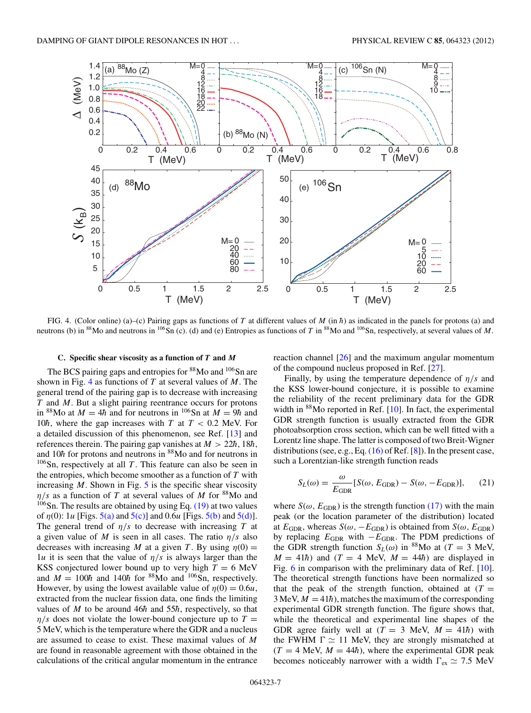<span id="page-6-0"></span>

FIG. 4. (Color online) (a)–(c) Pairing gaps as functions of *T* at different values of *M* (in  $\hbar$ ) as indicated in the panels for protons (a) and neutrons (b) in <sup>88</sup>Mo and neutrons in <sup>106</sup>Sn (c). (d) and (e) Entropies as functions of *T* in <sup>88</sup>Mo and <sup>106</sup>Sn, respectively, at several values of *M*.

# **C. Specific shear viscosity as a function of** *T* **and** *M*

The BCS pairing gaps and entropies for <sup>88</sup>Mo and <sup>106</sup>Sn are shown in Fig. 4 as functions of *T* at several values of *M*. The general trend of the pairing gap is to decrease with increasing *T* and *M*. But a slight pairing reentrance occurs for protons in <sup>88</sup>Mo at  $M = 4\hbar$  and for neutrons in <sup>106</sup>Sn at  $M = 9\hbar$  and 10 $\hbar$ , where the gap increases with *T* at  $T < 0.2$  MeV. For a detailed discussion of this phenomenon, see Ref. [\[13\]](#page-8-0) and references therein. The pairing gap vanishes at  $M > 22\hbar$ , 18 $\hbar$ , and 10 $\hbar$  for protons and neutrons in <sup>88</sup>Mo and for neutrons in  $106$ Sn, respectively at all *T*. This feature can also be seen in the entropies, which become smoother as a function of *T* with increasing  $M$ . Shown in Fig.  $5$  is the specific shear viscosity  $\eta/s$  as a function of *T* at several values of *M* for <sup>88</sup>Mo and  $106$ Sn. The results are obtained by using Eq. [\(19\)](#page-3-0) at two values of *η*(0): 1*u* [Figs. [5\(a\)](#page-7-0) and [5\(c\)\]](#page-7-0) and 0.6*u* [Figs. [5\(b\)](#page-7-0) and [5\(d\)\]](#page-7-0). The general trend of *η/s* to decrease with increasing *T* at a given value of *M* is seen in all cases. The ratio *η/s* also decreases with increasing *M* at a given *T*. By using  $\eta(0) =$ 1*u* it is seen that the value of  $\eta/s$  is always larger than the KSS conjectured lower bound up to very high  $T = 6$  MeV and  $M = 100\hbar$  and 140 $\hbar$  for <sup>88</sup>Mo and <sup>106</sup>Sn, respectively. However, by using the lowest available value of  $\eta(0) = 0.6u$ , extracted from the nuclear fission data, one finds the limiting values of  $M$  to be around 46 $\hbar$  and 55 $\hbar$ , respectively, so that  $\eta/s$  does not violate the lower-bound conjecture up to  $T =$ 5 MeV, which is the temperature where the GDR and a nucleus are assumed to cease to exist. These maximal values of *M* are found in reasonable agreement with those obtained in the calculations of the critical angular momentum in the entrance

reaction channel [\[26\]](#page-8-0) and the maximum angular momentum of the compound nucleus proposed in Ref. [\[27\]](#page-8-0).

Finally, by using the temperature dependence of *η/s* and the KSS lower-bound conjecture, it is possible to examine the reliability of the recent preliminary data for the GDR width in <sup>88</sup>Mo reported in Ref. [\[10\]](#page-8-0). In fact, the experimental GDR strength function is usually extracted from the GDR photoabsorption cross section, which can be well fitted with a Lorentz line shape. The latter is composed of two Breit-Wigner distributions (see, e.g., Eq. [\(16\)](#page-2-0) of Ref. [\[8\]](#page-8-0)). In the present case, such a Lorentzian-like strength function reads

$$
S_L(\omega) = \frac{\omega}{E_{\text{GDR}}} [S(\omega, E_{\text{GDR}}) - S(\omega, -E_{\text{GDR}})], \quad (21)
$$

where  $S(\omega, E_{\text{GDR}})$  is the strength function [\(17\)](#page-2-0) with the main peak (or the location parameter of the distribution) located at  $E_{\text{GDR}}$ , whereas  $S(\omega, -E_{\text{GDR}})$  is obtained from  $S(\omega, E_{\text{GDR}})$ by replacing *E*GDR with −*E*GDR. The PDM predictions of the GDR strength function  $S_L(\omega)$  in <sup>88</sup>Mo at (*T* = 3 MeV,  $M = 41\hbar$ ) and (*T* = 4 MeV,  $M = 44\hbar$ ) are displayed in Fig. [6](#page-7-0) in comparison with the preliminary data of Ref. [\[10\]](#page-8-0). The theoretical strength functions have been normalized so that the peak of the strength function, obtained at  $(T =$  $3$  MeV,  $M = 41\hbar$ ), matches the maximum of the corresponding experimental GDR strength function. The figure shows that, while the theoretical and experimental line shapes of the GDR agree fairly well at  $(T = 3 \text{ MeV}, M = 41\hbar)$  with the FWHM  $\Gamma \simeq 11$  MeV, they are strongly mismatched at  $(T = 4$  MeV,  $M = 44\hbar$ , where the experimental GDR peak becomes noticeably narrower with a width  $\Gamma_{\text{ex}} \simeq 7.5 \text{ MeV}$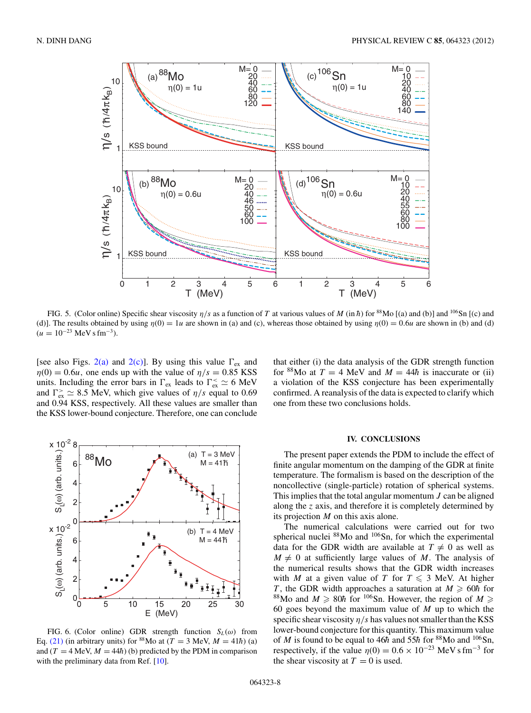<span id="page-7-0"></span>

FIG. 5. (Color online) Specific shear viscosity  $\eta/s$  as a function of T at various values of M (in  $\hbar$ ) for <sup>88</sup>Mo [(a) and (b)] and <sup>106</sup>Sn [(c) and (d)]. The results obtained by using  $\eta(0) = 1u$  are shown in (a) and (c), whereas those obtained by using  $\eta(0) = 0.6u$  are shown in (b) and (d)  $(u = 10^{-23} \text{ MeV s fm}^{-3}).$ 

[see also Figs.  $2(a)$  and  $2(c)$ ]. By using this value  $\Gamma_{ex}$  and  $η(0) = 0.6*u*$ , one ends up with the value of  $η/s = 0.85$  KSS units. Including the error bars in  $\Gamma_{\text{ex}}$  leads to  $\Gamma_{\text{ex}}^{\leq} \simeq 6 \text{ MeV}$ and  $\Gamma_{\text{ex}}^{\text{>}} \simeq 8.5$  MeV, which give values of  $\eta/s$  equal to 0.69 and 0.94 KSS, respectively. All these values are smaller than the KSS lower-bound conjecture. Therefore, one can conclude



FIG. 6. (Color online) GDR strength function  $S_L(\omega)$  from Eq. [\(21\)](#page-6-0) (in arbitrary units) for <sup>88</sup>Mo at ( $T = 3$  MeV,  $M = 41\hbar$ ) (a) and  $(T = 4$  MeV,  $M = 44\hbar$ ) (b) predicted by the PDM in comparison with the preliminary data from Ref. [\[10\]](#page-8-0).

that either (i) the data analysis of the GDR strength function for <sup>88</sup>Mo at  $T = 4$  MeV and  $M = 44\hbar$  is inaccurate or (ii) a violation of the KSS conjecture has been experimentally confirmed. A reanalysis of the data is expected to clarify which one from these two conclusions holds.

## **IV. CONCLUSIONS**

The present paper extends the PDM to include the effect of finite angular momentum on the damping of the GDR at finite temperature. The formalism is based on the description of the noncollective (single-particle) rotation of spherical systems. This implies that the total angular momentum *J* can be aligned along the *z* axis, and therefore it is completely determined by its projection *M* on this axis alone.

The numerical calculations were carried out for two spherical nuclei <sup>88</sup>Mo and <sup>106</sup>Sn, for which the experimental data for the GDR width are available at  $T \neq 0$  as well as  $M \neq 0$  at sufficiently large values of *M*. The analysis of the numerical results shows that the GDR width increases with *M* at a given value of *T* for  $T \le 3$  MeV. At higher *T*, the GDR width approaches a saturation at  $M \geq 60\hbar$  for <sup>88</sup>Mo and *M*  $\geq$  80*h* for <sup>106</sup>Sn. However, the region of *M*  $\geq$ 60 goes beyond the maximum value of *M* up to which the specific shear viscosity  $\eta/s$  has values not smaller than the KSS lower-bound conjecture for this quantity. This maximum value of *M* is found to be equal to 46 $\hbar$  and 55 $\hbar$  for <sup>88</sup>Mo and <sup>106</sup>Sn, respectively, if the value  $\eta(0) = 0.6 \times 10^{-23}$  MeV s fm<sup>-3</sup> for the shear viscosity at  $T = 0$  is used.